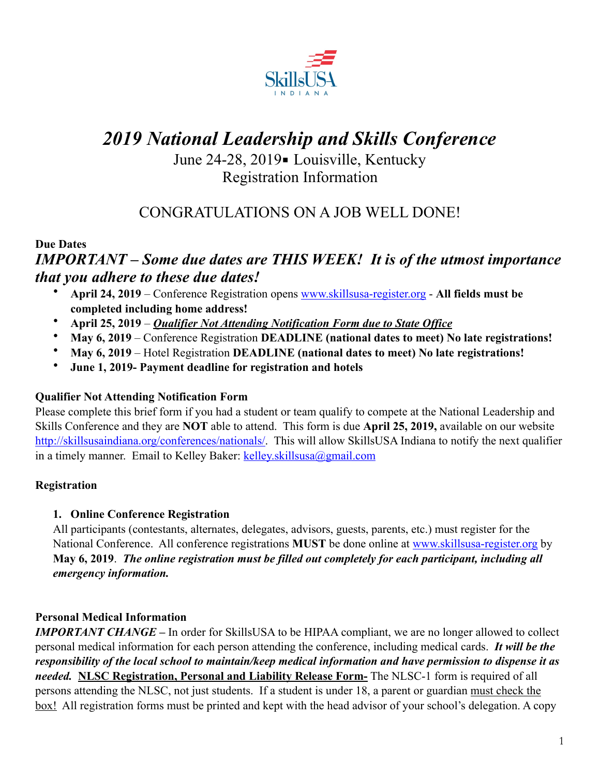

# *2019 National Leadership and Skills Conference*

June 24-28, 2019 - Louisville, Kentucky Registration Information

# CONGRATULATIONS ON A JOB WELL DONE!

#### **Due Dates**

## *IMPORTANT – Some due dates are THIS WEEK! It is of the utmost importance that you adhere to these due dates!*

- **April 24, 2019** Conference Registration opens [www.skillsusa-register.org](http://www.skillsusa-register.org)  **All fields must be completed including home address!**
- **April 25, 2019** *Qualifier Not Attending Notification Form due to State Office*
- **May 6, 2019** Conference Registration **DEADLINE (national dates to meet) No late registrations!**
- **May 6, 2019** Hotel Registration **DEADLINE (national dates to meet) No late registrations!**
- **June 1, 2019- Payment deadline for registration and hotels**

#### **Qualifier Not Attending Notification Form**

Please complete this brief form if you had a student or team qualify to compete at the National Leadership and Skills Conference and they are **NOT** able to attend. This form is due **April 25, 2019,** available on our website [http://skillsusaindiana.org/conferences/nationals/.](http://skillsusaindiana.org/conferences/nationals/) This will allow SkillsUSA Indiana to notify the next qualifier in a timely manner. Email to Kelley Baker: [kelley.skillsusa@gmail.com](mailto:kelley.skillsusa@gmail.com)

#### **Registration**

#### **1. Online Conference Registration**

All participants (contestants, alternates, delegates, advisors, guests, parents, etc.) must register for the National Conference. All conference registrations **MUST** be done online at [www.skillsusa-register.org](http://www.skillsusa-register.org) by **May 6, 2019**. *The online registration must be filled out completely for each participant, including all emergency information.* 

#### **Personal Medical Information**

*IMPORTANT CHANGE* – In order for SkillsUSA to be HIPAA compliant, we are no longer allowed to collect personal medical information for each person attending the conference, including medical cards. *It will be the responsibility of the local school to maintain/keep medical information and have permission to dispense it as needed.* **NLSC Registration, Personal and Liability Release Form-** The NLSC-1 form is required of all persons attending the NLSC, not just students. If a student is under 18, a parent or guardian must check the box! All registration forms must be printed and kept with the head advisor of your school's delegation. A copy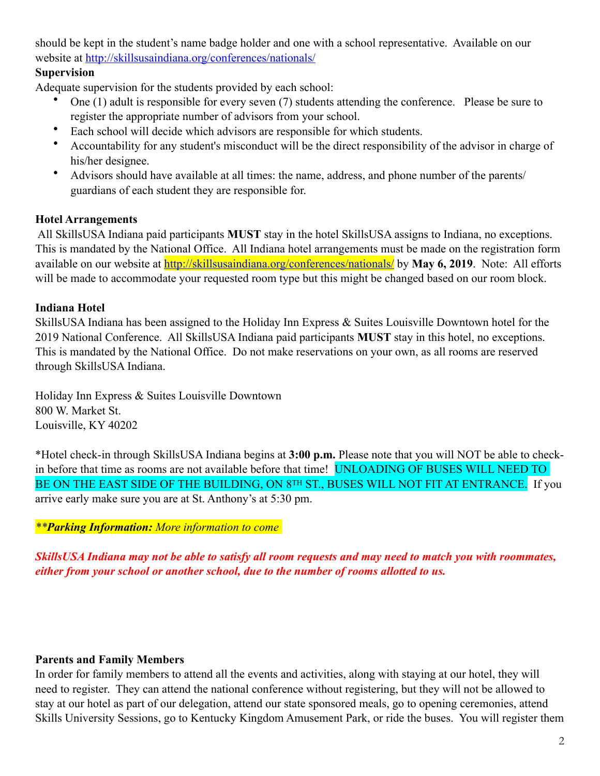should be kept in the student's name badge holder and one with a school representative. Available on our website at<http://skillsusaindiana.org/conferences/nationals/>

#### **Supervision**

Adequate supervision for the students provided by each school:

- One (1) adult is responsible for every seven (7) students attending the conference. Please be sure to register the appropriate number of advisors from your school.
- Each school will decide which advisors are responsible for which students.
- Accountability for any student's misconduct will be the direct responsibility of the advisor in charge of his/her designee.
- Advisors should have available at all times: the name, address, and phone number of the parents/ guardians of each student they are responsible for.

#### **Hotel Arrangements**

 All SkillsUSA Indiana paid participants **MUST** stay in the hotel SkillsUSA assigns to Indiana, no exceptions. This is mandated by the National Office. All Indiana hotel arrangements must be made on the registration form available on our website at **<http://skillsusaindiana.org/conferences/nationals/>** by **May 6, 2019**. Note: All efforts will be made to accommodate your requested room type but this might be changed based on our room block.

#### **Indiana Hotel**

SkillsUSA Indiana has been assigned to the Holiday Inn Express & Suites Louisville Downtown hotel for the 2019 National Conference. All SkillsUSA Indiana paid participants **MUST** stay in this hotel, no exceptions. This is mandated by the National Office. Do not make reservations on your own, as all rooms are reserved through SkillsUSA Indiana.

Holiday Inn Express & Suites Louisville Downtown 800 W. Market St. Louisville, KY 40202

\*Hotel check-in through SkillsUSA Indiana begins at **3:00 p.m.** Please note that you will NOT be able to checkin before that time as rooms are not available before that time! UNLOADING OF BUSES WILL NEED TO BE ON THE EAST SIDE OF THE BUILDING, ON 8TH ST., BUSES WILL NOT FIT AT ENTRANCE. If you arrive early make sure you are at St. Anthony's at 5:30 pm.

#### *\*\*Parking Information: More information to come*

*SkillsUSA Indiana may not be able to satisfy all room requests and may need to match you with roommates, either from your school or another school, due to the number of rooms allotted to us.* 

#### **Parents and Family Members**

In order for family members to attend all the events and activities, along with staying at our hotel, they will need to register. They can attend the national conference without registering, but they will not be allowed to stay at our hotel as part of our delegation, attend our state sponsored meals, go to opening ceremonies, attend Skills University Sessions, go to Kentucky Kingdom Amusement Park, or ride the buses. You will register them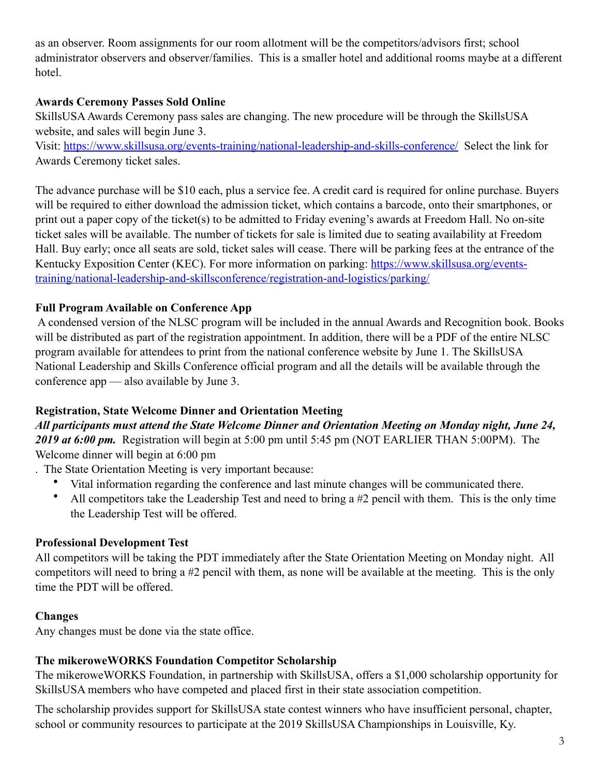as an observer. Room assignments for our room allotment will be the competitors/advisors first; school administrator observers and observer/families. This is a smaller hotel and additional rooms maybe at a different hotel.

#### **Awards Ceremony Passes Sold Online**

SkillsUSA Awards Ceremony pass sales are changing. The new procedure will be through the SkillsUSA website, and sales will begin June 3.

Visit: <https://www.skillsusa.org/events-training/national-leadership-and-skills-conference/>Select the link for Awards Ceremony ticket sales.

The advance purchase will be \$10 each, plus a service fee. A credit card is required for online purchase. Buyers will be required to either download the admission ticket, which contains a barcode, onto their smartphones, or print out a paper copy of the ticket(s) to be admitted to Friday evening's awards at Freedom Hall. No on-site ticket sales will be available. The number of tickets for sale is limited due to seating availability at Freedom Hall. Buy early; once all seats are sold, ticket sales will cease. There will be parking fees at the entrance of the Kentucky Exposition Center (KEC). For more information on parking: [https://www.skillsusa.org/events](https://www.skillsusa.org/events-training/national-leadership-and-skillsconference/registration-and-logistics/parking/)[training/national-leadership-and-skillsconference/registration-and-logistics/parking/](https://www.skillsusa.org/events-training/national-leadership-and-skillsconference/registration-and-logistics/parking/) 

#### **Full Program Available on Conference App**

 A condensed version of the NLSC program will be included in the annual Awards and Recognition book. Books will be distributed as part of the registration appointment. In addition, there will be a PDF of the entire NLSC program available for attendees to print from the national conference website by June 1. The SkillsUSA National Leadership and Skills Conference official program and all the details will be available through the conference app — also available by June 3.

#### **Registration, State Welcome Dinner and Orientation Meeting**

*All participants must attend the State Welcome Dinner and Orientation Meeting on Monday night, June 24, 2019 at 6:00 pm.* Registration will begin at 5:00 pm until 5:45 pm (NOT EARLIER THAN 5:00PM). The Welcome dinner will begin at 6:00 pm

. The State Orientation Meeting is very important because:

- Vital information regarding the conference and last minute changes will be communicated there.
- All competitors take the Leadership Test and need to bring a #2 pencil with them. This is the only time the Leadership Test will be offered.

#### **Professional Development Test**

All competitors will be taking the PDT immediately after the State Orientation Meeting on Monday night. All competitors will need to bring a #2 pencil with them, as none will be available at the meeting. This is the only time the PDT will be offered.

#### **Changes**

Any changes must be done via the state office.

#### **The mikeroweWORKS Foundation Competitor Scholarship**

The mikeroweWORKS Foundation, in partnership with SkillsUSA, offers a \$1,000 scholarship opportunity for SkillsUSA members who have competed and placed first in their state association competition.

The scholarship provides support for SkillsUSA state contest winners who have insufficient personal, chapter, school or community resources to participate at the 2019 SkillsUSA Championships in Louisville, Ky.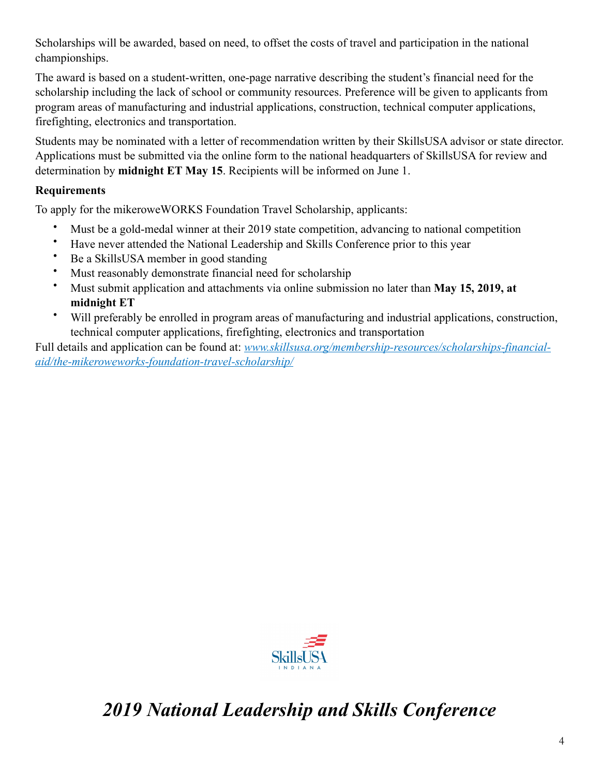Scholarships will be awarded, based on need, to offset the costs of travel and participation in the national championships.

The award is based on a student-written, one-page narrative describing the student's financial need for the scholarship including the lack of school or community resources. Preference will be given to applicants from program areas of manufacturing and industrial applications, construction, technical computer applications, firefighting, electronics and transportation.

Students may be nominated with a letter of recommendation written by their SkillsUSA advisor or state director. Applications must be submitted via the online form to the national headquarters of SkillsUSA for review and determination by **midnight ET May 15**. Recipients will be informed on June 1.

#### **Requirements**

To apply for the mikeroweWORKS Foundation Travel Scholarship, applicants:

- Must be a gold-medal winner at their 2019 state competition, advancing to national competition
- Have never attended the National Leadership and Skills Conference prior to this year
- Be a SkillsUSA member in good standing
- Must reasonably demonstrate financial need for scholarship
- Must submit application and attachments via online submission no later than **May 15, 2019, at midnight ET**
- Will preferably be enrolled in program areas of manufacturing and industrial applications, construction, technical computer applications, firefighting, electronics and transportation

Full details and application can be found at: *[www.skillsusa.org/membership-resources/scholarships-financial](http://www.skillsusa.org/membership-resources/scholarships-financial-aid/the-mikeroweworks-foundation-travel-scholarship/)[aid/the-mikeroweworks-foundation-travel-scholarship/](http://www.skillsusa.org/membership-resources/scholarships-financial-aid/the-mikeroweworks-foundation-travel-scholarship/)*



# *2019 National Leadership and Skills Conference*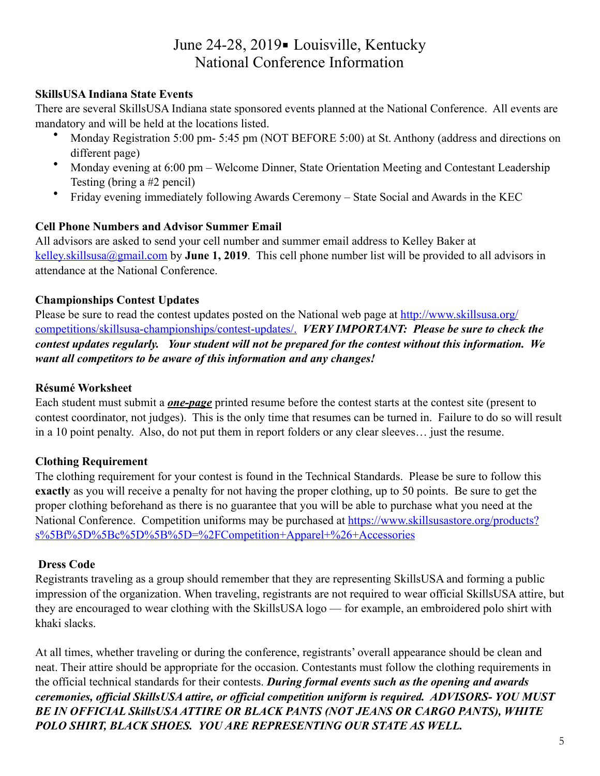## June 24-28, 2019 - Louisville, Kentucky National Conference Information

#### **SkillsUSA Indiana State Events**

There are several SkillsUSA Indiana state sponsored events planned at the National Conference. All events are mandatory and will be held at the locations listed.

- Monday Registration 5:00 pm- 5:45 pm (NOT BEFORE 5:00) at St. Anthony (address and directions on different page)
- Monday evening at 6:00 pm Welcome Dinner, State Orientation Meeting and Contestant Leadership Testing (bring a #2 pencil)
- Friday evening immediately following Awards Ceremony State Social and Awards in the KEC

#### **Cell Phone Numbers and Advisor Summer Email**

All advisors are asked to send your cell number and summer email address to Kelley Baker at [kelley.skillsusa@gmail.com](mailto:kelley.skillsusa@gmail.com) by **June 1, 2019**. This cell phone number list will be provided to all advisors in attendance at the National Conference.

#### **Championships Contest Updates**

Please be sure to read the contest updates posted on the National web page at [http://www.skillsusa.org/](http://www.skillsusa.org/competitions/skillsusa-championships/contest-updates/) [competitions/skillsusa-championships/contest-updates/.](http://www.skillsusa.org/competitions/skillsusa-championships/contest-updates/) *VERY IMPORTANT: Please be sure to check the contest updates regularly. Your student will not be prepared for the contest without this information. We want all competitors to be aware of this information and any changes!* 

#### **Résumé Worksheet**

Each student must submit a *one-page* printed resume before the contest starts at the contest site (present to contest coordinator, not judges). This is the only time that resumes can be turned in. Failure to do so will result in a 10 point penalty. Also, do not put them in report folders or any clear sleeves… just the resume.

#### **Clothing Requirement**

The clothing requirement for your contest is found in the Technical Standards. Please be sure to follow this **exactly** as you will receive a penalty for not having the proper clothing, up to 50 points. Be sure to get the proper clothing beforehand as there is no guarantee that you will be able to purchase what you need at the National Conference. Competition uniforms may be purchased at [https://www.skillsusastore.org/products?](https://www.skillsusastore.org/products?s%255Bf%255D%255Bc%255D%255B%255D=%252FCompetition+Apparel+%2526+Accessories) [s%5Bf%5D%5Bc%5D%5B%5D=%2FCompetition+Apparel+%26+Accessories](https://www.skillsusastore.org/products?s%255Bf%255D%255Bc%255D%255B%255D=%252FCompetition+Apparel+%2526+Accessories)

#### **Dress Code**

Registrants traveling as a group should remember that they are representing SkillsUSA and forming a public impression of the organization. When traveling, registrants are not required to wear official SkillsUSA attire, but they are encouraged to wear clothing with the SkillsUSA logo — for example, an embroidered polo shirt with khaki slacks.

At all times, whether traveling or during the conference, registrants' overall appearance should be clean and neat. Their attire should be appropriate for the occasion. Contestants must follow the clothing requirements in the official technical standards for their contests. *During formal events such as the opening and awards ceremonies, official SkillsUSA attire, or official competition uniform is required. ADVISORS- YOU MUST BE IN OFFICIAL SkillsUSA ATTIRE OR BLACK PANTS (NOT JEANS OR CARGO PANTS), WHITE POLO SHIRT, BLACK SHOES. YOU ARE REPRESENTING OUR STATE AS WELL.*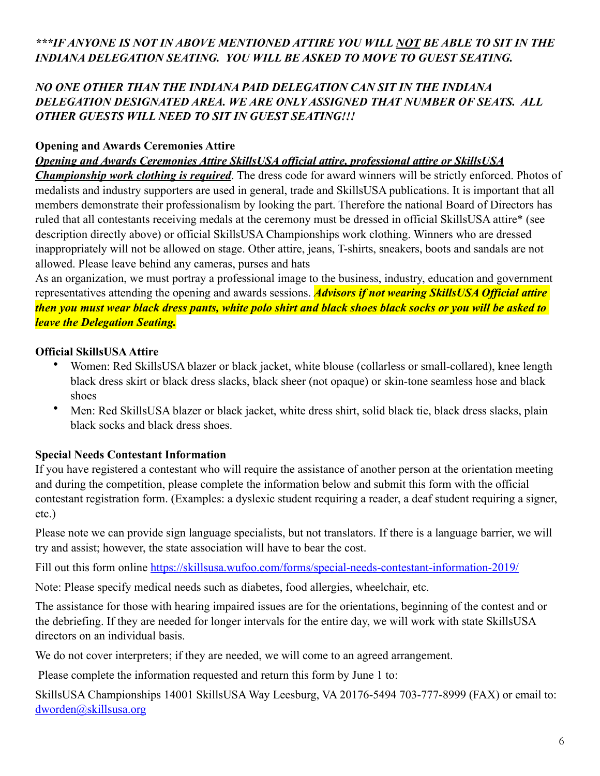#### *\*\*\*IF ANYONE IS NOT IN ABOVE MENTIONED ATTIRE YOU WILL NOT BE ABLE TO SIT IN THE INDIANA DELEGATION SEATING. YOU WILL BE ASKED TO MOVE TO GUEST SEATING.*

#### *NO ONE OTHER THAN THE INDIANA PAID DELEGATION CAN SIT IN THE INDIANA DELEGATION DESIGNATED AREA. WE ARE ONLY ASSIGNED THAT NUMBER OF SEATS. ALL OTHER GUESTS WILL NEED TO SIT IN GUEST SEATING!!!*

#### **Opening and Awards Ceremonies Attire**

#### *Opening and Awards Ceremonies Attire SkillsUSA official attire, professional attire or SkillsUSA*

*Championship work clothing is required*. The dress code for award winners will be strictly enforced. Photos of medalists and industry supporters are used in general, trade and SkillsUSA publications. It is important that all members demonstrate their professionalism by looking the part. Therefore the national Board of Directors has ruled that all contestants receiving medals at the ceremony must be dressed in official SkillsUSA attire\* (see description directly above) or official SkillsUSA Championships work clothing. Winners who are dressed inappropriately will not be allowed on stage. Other attire, jeans, T-shirts, sneakers, boots and sandals are not allowed. Please leave behind any cameras, purses and hats

As an organization, we must portray a professional image to the business, industry, education and government representatives attending the opening and awards sessions. *Advisors if not wearing SkillsUSA Official attire then you must wear black dress pants, white polo shirt and black shoes black socks or you will be asked to leave the Delegation Seating.*

#### **Official SkillsUSA Attire**

- Women: Red SkillsUSA blazer or black jacket, white blouse (collarless or small-collared), knee length black dress skirt or black dress slacks, black sheer (not opaque) or skin-tone seamless hose and black shoes
- Men: Red SkillsUSA blazer or black jacket, white dress shirt, solid black tie, black dress slacks, plain black socks and black dress shoes.

#### **Special Needs Contestant Information**

If you have registered a contestant who will require the assistance of another person at the orientation meeting and during the competition, please complete the information below and submit this form with the official contestant registration form. (Examples: a dyslexic student requiring a reader, a deaf student requiring a signer, etc.)

Please note we can provide sign language specialists, but not translators. If there is a language barrier, we will try and assist; however, the state association will have to bear the cost.

Fill out this form online <https://skillsusa.wufoo.com/forms/special-needs-contestant-information-2019/>

Note: Please specify medical needs such as diabetes, food allergies, wheelchair, etc.

The assistance for those with hearing impaired issues are for the orientations, beginning of the contest and or the debriefing. If they are needed for longer intervals for the entire day, we will work with state SkillsUSA directors on an individual basis.

We do not cover interpreters; if they are needed, we will come to an agreed arrangement.

Please complete the information requested and return this form by June 1 to:

SkillsUSA Championships 14001 SkillsUSA Way Leesburg, VA 20176-5494 703-777-8999 (FAX) or email to: [dworden@skillsusa.org](mailto:dworden@skillsusa.org)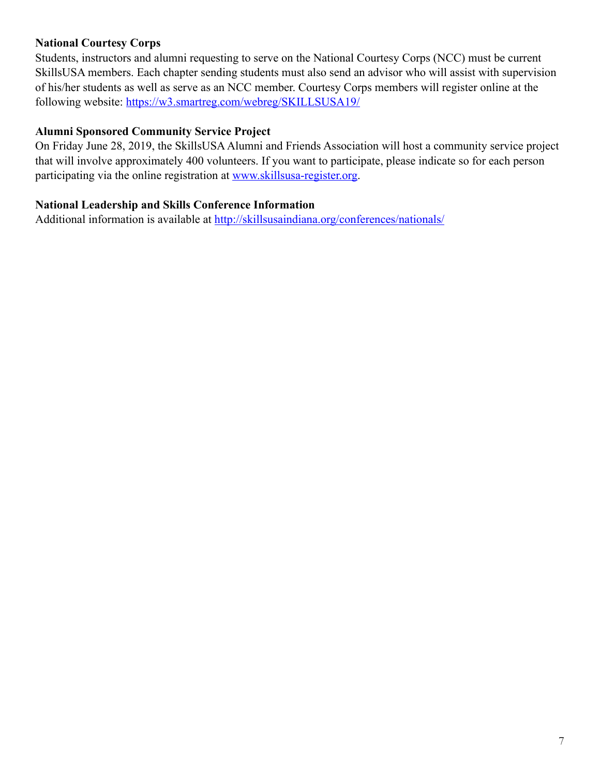#### **National Courtesy Corps**

Students, instructors and alumni requesting to serve on the National Courtesy Corps (NCC) must be current SkillsUSA members. Each chapter sending students must also send an advisor who will assist with supervision of his/her students as well as serve as an NCC member. Courtesy Corps members will register online at the following website: <https://w3.smartreg.com/webreg/SKILLSUSA19/>

#### **Alumni Sponsored Community Service Project**

On Friday June 28, 2019, the SkillsUSA Alumni and Friends Association will host a community service project that will involve approximately 400 volunteers. If you want to participate, please indicate so for each person participating via the online registration at [www.skillsusa-register.org.](http://www.skillsusa-register.org)

#### **National Leadership and Skills Conference Information**

Additional information is available at <http://skillsusaindiana.org/conferences/nationals/>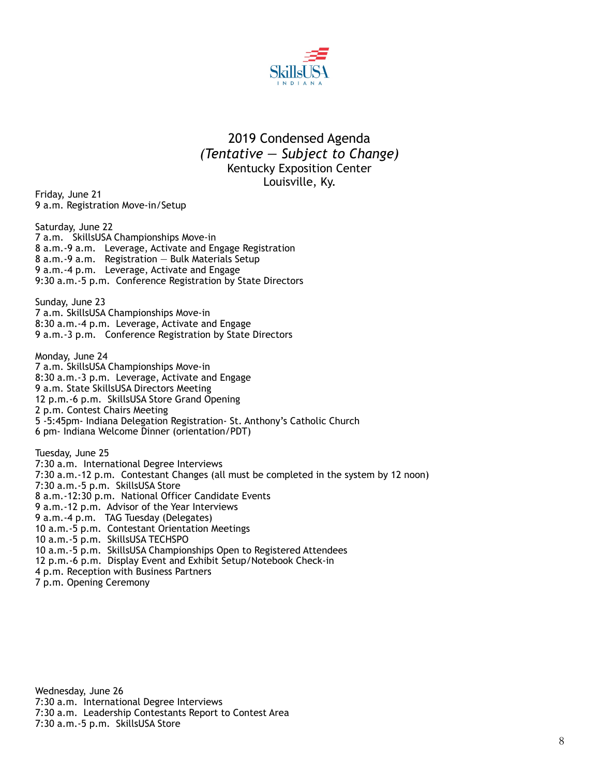

#### 2019 Condensed Agenda *(Tentative — Subject to Change)*  Kentucky Exposition Center Louisville, Ky.

Friday, June 21 9 a.m. Registration Move-in/Setup

Saturday, June 22 7 a.m. SkillsUSA Championships Move-in 8 a.m.-9 a.m. Leverage, Activate and Engage Registration 8 a.m.-9 a.m. Registration — Bulk Materials Setup 9 a.m.-4 p.m. Leverage, Activate and Engage 9:30 a.m.-5 p.m. Conference Registration by State Directors

Sunday, June 23 7 a.m. SkillsUSA Championships Move-in 8:30 a.m.-4 p.m. Leverage, Activate and Engage 9 a.m.-3 p.m. Conference Registration by State Directors

Monday, June 24 7 a.m. SkillsUSA Championships Move-in 8:30 a.m.-3 p.m. Leverage, Activate and Engage 9 a.m. State SkillsUSA Directors Meeting 12 p.m.-6 p.m. SkillsUSA Store Grand Opening 2 p.m. Contest Chairs Meeting 5 -5:45pm- Indiana Delegation Registration- St. Anthony's Catholic Church 6 pm- Indiana Welcome Dinner (orientation/PDT)

Tuesday, June 25 7:30 a.m. International Degree Interviews 7:30 a.m.-12 p.m. Contestant Changes (all must be completed in the system by 12 noon) 7:30 a.m.-5 p.m. SkillsUSA Store 8 a.m.-12:30 p.m. National Officer Candidate Events 9 a.m.-12 p.m. Advisor of the Year Interviews 9 a.m.-4 p.m. TAG Tuesday (Delegates) 10 a.m.-5 p.m. Contestant Orientation Meetings 10 a.m.-5 p.m. SkillsUSA TECHSPO 10 a.m.-5 p.m. SkillsUSA Championships Open to Registered Attendees 12 p.m.-6 p.m. Display Event and Exhibit Setup/Notebook Check-in 4 p.m. Reception with Business Partners 7 p.m. Opening Ceremony

Wednesday, June 26 7:30 a.m. International Degree Interviews 7:30 a.m. Leadership Contestants Report to Contest Area 7:30 a.m.-5 p.m. SkillsUSA Store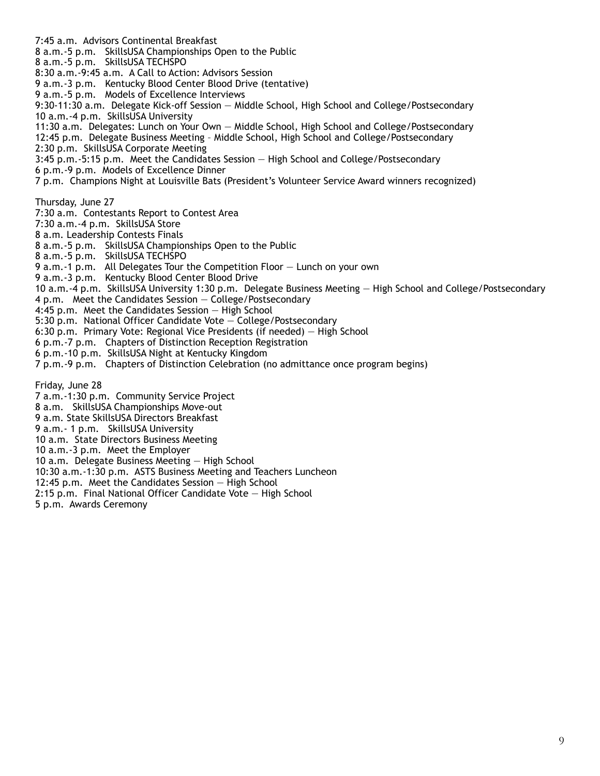7:45 a.m. Advisors Continental Breakfast 8 a.m.-5 p.m. SkillsUSA Championships Open to the Public 8 a.m.-5 p.m. SkillsUSA TECHSPO 8:30 a.m.-9:45 a.m. A Call to Action: Advisors Session 9 a.m.-3 p.m. Kentucky Blood Center Blood Drive (tentative) 9 a.m.-5 p.m. Models of Excellence Interviews 9:30-11:30 a.m. Delegate Kick-off Session — Middle School, High School and College/Postsecondary 10 a.m.-4 p.m. SkillsUSA University 11:30 a.m. Delegates: Lunch on Your Own — Middle School, High School and College/Postsecondary 12:45 p.m. Delegate Business Meeting – Middle School, High School and College/Postsecondary 2:30 p.m. SkillsUSA Corporate Meeting 3:45 p.m.-5:15 p.m. Meet the Candidates Session — High School and College/Postsecondary 6 p.m.-9 p.m. Models of Excellence Dinner 7 p.m. Champions Night at Louisville Bats (President's Volunteer Service Award winners recognized) Thursday, June 27 7:30 a.m. Contestants Report to Contest Area 7:30 a.m.-4 p.m. SkillsUSA Store 8 a.m. Leadership Contests Finals 8 a.m.-5 p.m. SkillsUSA Championships Open to the Public 8 a.m.-5 p.m. SkillsUSA TECHSPO 9 a.m.-1 p.m. All Delegates Tour the Competition Floor — Lunch on your own 9 a.m.-3 p.m. Kentucky Blood Center Blood Drive 10 a.m.-4 p.m. SkillsUSA University 1:30 p.m. Delegate Business Meeting — High School and College/Postsecondary 4 p.m. Meet the Candidates Session — College/Postsecondary 4:45 p.m. Meet the Candidates Session — High School 5:30 p.m. National Officer Candidate Vote — College/Postsecondary 6:30 p.m. Primary Vote: Regional Vice Presidents (if needed) — High School 6 p.m.-7 p.m. Chapters of Distinction Reception Registration 6 p.m.-10 p.m. SkillsUSA Night at Kentucky Kingdom 7 p.m.-9 p.m. Chapters of Distinction Celebration (no admittance once program begins) Friday, June 28 7 a.m.-1:30 p.m. Community Service Project 8 a.m. SkillsUSA Championships Move-out 9 a.m. State SkillsUSA Directors Breakfast 9 a.m.- 1 p.m. SkillsUSA University 10 a.m. State Directors Business Meeting 10 a.m.-3 p.m. Meet the Employer 10 a.m. Delegate Business Meeting — High School 10:30 a.m.-1:30 p.m. ASTS Business Meeting and Teachers Luncheon 12:45 p.m. Meet the Candidates Session — High School

- 2:15 p.m. Final National Officer Candidate Vote High School
- 5 p.m. Awards Ceremony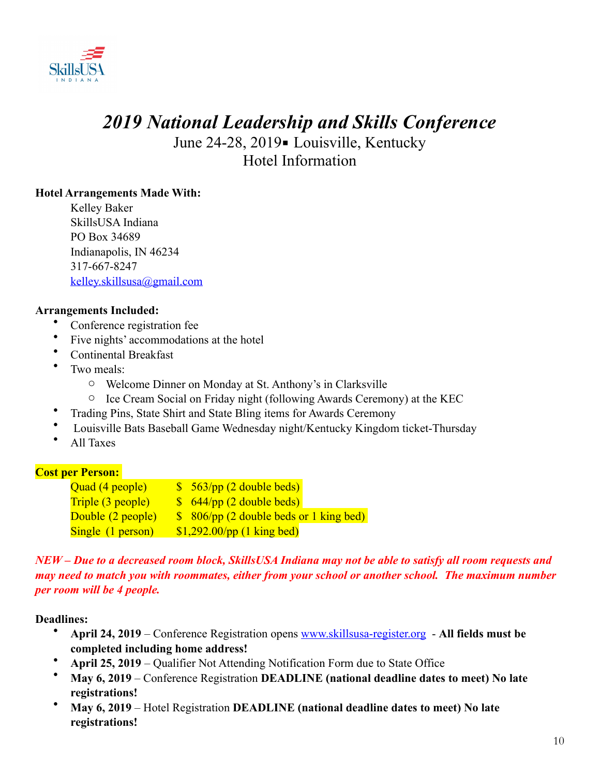

# *2019 National Leadership and Skills Conference*

June 24-28, 2019 - Louisville, Kentucky Hotel Information

#### **Hotel Arrangements Made With:**

Kelley Baker SkillsUSA Indiana PO Box 34689 Indianapolis, IN 46234 317-667-8247 [kelley.skillsusa@gmail.com](mailto:kelley.skillsusa@gmail.com)

#### **Arrangements Included:**

- Conference registration fee
- Five nights' accommodations at the hotel
- Continental Breakfast
- Two meals:
	- o Welcome Dinner on Monday at St. Anthony's in Clarksville
	- o Ice Cream Social on Friday night (following Awards Ceremony) at the KEC
- Trading Pins, State Shirt and State Bling items for Awards Ceremony
- Louisville Bats Baseball Game Wednesday night/Kentucky Kingdom ticket-Thursday
- All Taxes

#### **Cost per Person:**

| Quad (4 people)          | $\frac{\sqrt{2}}{2}$ 563/pp (2 double beds) |
|--------------------------|---------------------------------------------|
| <b>Triple (3 people)</b> | $\frac{\sqrt{2}}{2}$ 644/pp (2 double beds) |
| Double (2 people)        | \$ 806/pp (2 double beds or 1 king bed)     |
| Single (1 person)        | $$1,292.00$ /pp (1 king bed)                |

#### *NEW – Due to a decreased room block, SkillsUSA Indiana may not be able to satisfy all room requests and may need to match you with roommates, either from your school or another school. The maximum number per room will be 4 people.*

#### **Deadlines:**

- **April 24, 2019** Conference Registration opens [www.skillsusa-register.org](http://www.skillsusa-register.org)  **All fields must be completed including home address!**
- **April 25, 2019** Qualifier Not Attending Notification Form due to State Office
- **May 6, 2019** Conference Registration **DEADLINE (national deadline dates to meet) No late registrations!**
- **May 6, 2019** Hotel Registration **DEADLINE (national deadline dates to meet) No late registrations!**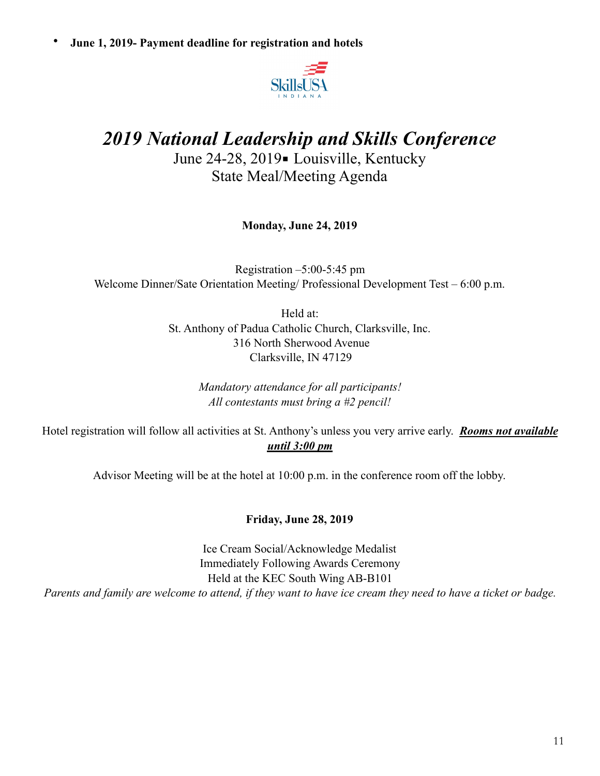• **June 1, 2019- Payment deadline for registration and hotels**



# *2019 National Leadership and Skills Conference*

June 24-28, 2019 - Louisville, Kentucky State Meal/Meeting Agenda

**Monday, June 24, 2019** 

Registration –5:00-5:45 pm Welcome Dinner/Sate Orientation Meeting/ Professional Development Test – 6:00 p.m.

> Held at: St. Anthony of Padua Catholic Church, Clarksville, Inc. 316 North Sherwood Avenue Clarksville, IN 47129

> > *Mandatory attendance for all participants! All contestants must bring a #2 pencil!*

Hotel registration will follow all activities at St. Anthony's unless you very arrive early. *Rooms not available until 3:00 pm* 

Advisor Meeting will be at the hotel at 10:00 p.m. in the conference room off the lobby.

#### **Friday, June 28, 2019**

Ice Cream Social/Acknowledge Medalist Immediately Following Awards Ceremony Held at the KEC South Wing AB-B101 *Parents and family are welcome to attend, if they want to have ice cream they need to have a ticket or badge.*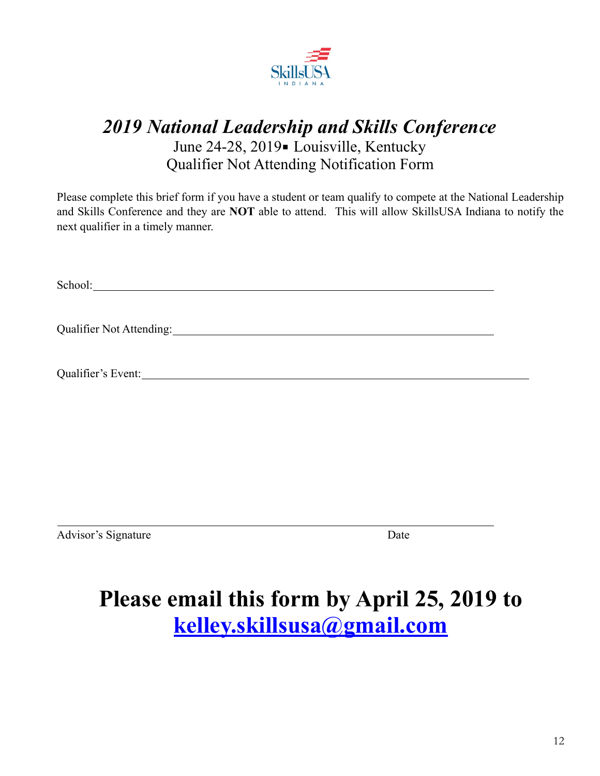

# *2019 National Leadership and Skills Conference*  June 24-28, 2019 - Louisville, Kentucky Qualifier Not Attending Notification Form

Please complete this brief form if you have a student or team qualify to compete at the National Leadership and Skills Conference and they are **NOT** able to attend. This will allow SkillsUSA Indiana to notify the next qualifier in a timely manner.

School: The state of the state of the state of the state of the state of the state of the state of the state of the state of the state of the state of the state of the state of the state of the state of the state of the st

Qualifier Not Attending:

Qualifier's Event:

Advisor's Signature Date

 $\overline{a}$ 

# **Please email this form by April 25, 2019 to [kelley.skillsusa@gmail.com](mailto:kelley.skillsusa@gmail.com)**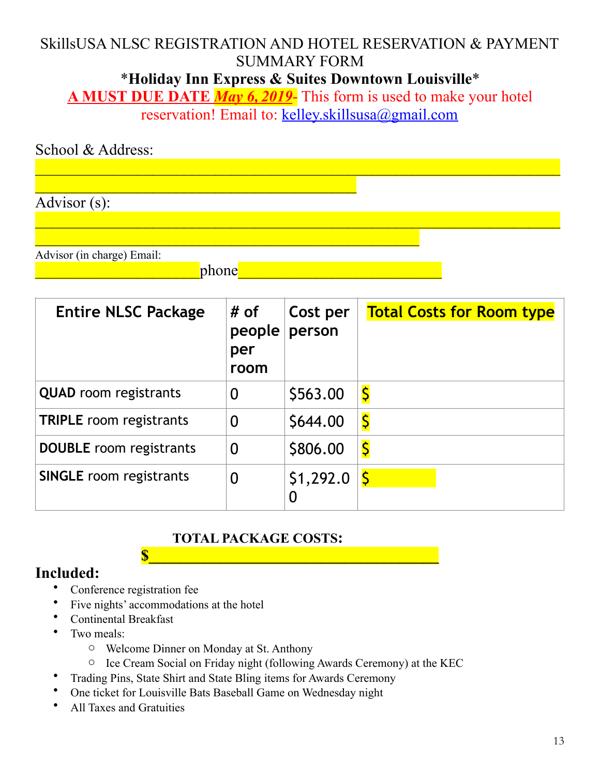# SkillsUSA NLSC REGISTRATION AND HOTEL RESERVATION & PAYMENT SUMMARY FORM

\***Holiday Inn Express & Suites Downtown Louisville**\*

**A MUST DUE DATE** *May 6, 2019*- This form is used to make your hotel reservation! Email to: [kelley.skillsusa@gmail.com](mailto:kelley.skillsusa@gmail.com)

| School & Address:          |       |  |  |  |
|----------------------------|-------|--|--|--|
|                            |       |  |  |  |
|                            |       |  |  |  |
| Advisor $(s)$ :            |       |  |  |  |
|                            |       |  |  |  |
|                            |       |  |  |  |
| Advisor (in charge) Email: |       |  |  |  |
|                            | phone |  |  |  |

| <b>Entire NLSC Package</b>     | # of<br>people<br>per<br>room | Cost per<br>person | <b>Total Costs for Room type</b>    |
|--------------------------------|-------------------------------|--------------------|-------------------------------------|
| <b>QUAD</b> room registrants   | 0                             | \$563.00           | $\overline{\boldsymbol{\varsigma}}$ |
| <b>TRIPLE</b> room registrants | $\overline{0}$                | \$644.00           | $\overline{\mathsf{S}}$             |
| <b>DOUBLE</b> room registrants | $\overline{0}$                | \$806.00           | $\overline{\varsigma}$              |
| <b>SINGLE</b> room registrants | 0                             | \$1,292.0<br>0     | S                                   |

### **TOTAL PACKAGE COSTS:**

## **Included:**

- Conference registration fee
- Five nights' accommodations at the hotel
- Continental Breakfast
- Two meals:
	- o Welcome Dinner on Monday at St. Anthony
	- o Ice Cream Social on Friday night (following Awards Ceremony) at the KEC

**\$\_\_\_\_\_\_\_\_\_\_\_\_\_\_\_\_\_\_\_\_\_\_\_\_\_\_\_\_\_\_\_\_\_\_\_\_\_**

- Trading Pins, State Shirt and State Bling items for Awards Ceremony
- One ticket for Louisville Bats Baseball Game on Wednesday night
- All Taxes and Gratuities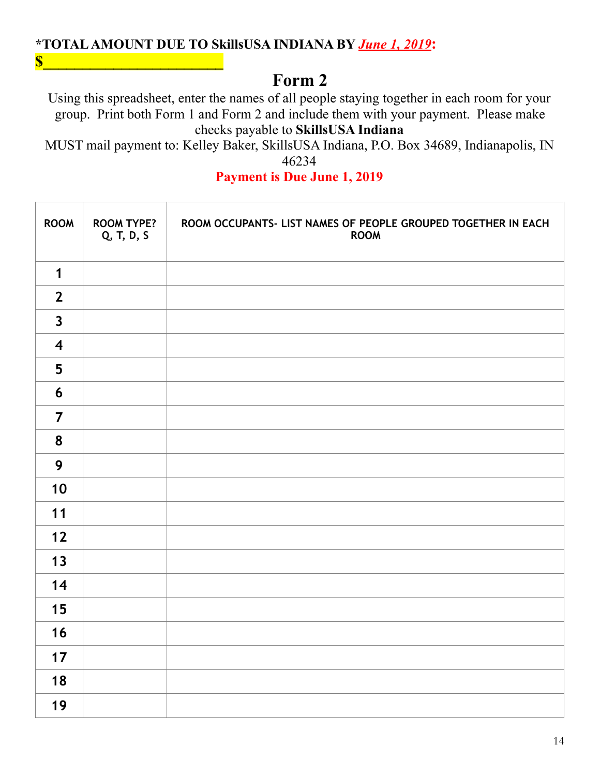### **\*TOTAL AMOUNT DUE TO SkillsUSA INDIANA BY** *June 1, 2019***:**

**\$\_\_\_\_\_\_\_\_\_\_\_\_\_\_\_\_\_\_\_\_\_\_\_**

# **Form 2**

Using this spreadsheet, enter the names of all people staying together in each room for your group. Print both Form 1 and Form 2 and include them with your payment. Please make checks payable to **SkillsUSA Indiana** 

MUST mail payment to: Kelley Baker, SkillsUSA Indiana, P.O. Box 34689, Indianapolis, IN 

**Payment is Due June 1, 2019** 

| <b>ROOM</b>             | <b>ROOM TYPE?</b><br>Q, T, D, S | ROOM OCCUPANTS- LIST NAMES OF PEOPLE GROUPED TOGETHER IN EACH<br><b>ROOM</b> |
|-------------------------|---------------------------------|------------------------------------------------------------------------------|
| $\mathbf 1$             |                                 |                                                                              |
| $\overline{2}$          |                                 |                                                                              |
| $\overline{\mathbf{3}}$ |                                 |                                                                              |
| $\overline{\mathbf{4}}$ |                                 |                                                                              |
| 5                       |                                 |                                                                              |
| 6                       |                                 |                                                                              |
| $\overline{7}$          |                                 |                                                                              |
| 8                       |                                 |                                                                              |
| 9                       |                                 |                                                                              |
| 10                      |                                 |                                                                              |
| 11                      |                                 |                                                                              |
| $12$                    |                                 |                                                                              |
| 13                      |                                 |                                                                              |
| 14                      |                                 |                                                                              |
| 15                      |                                 |                                                                              |
| 16                      |                                 |                                                                              |
| 17                      |                                 |                                                                              |
| 18                      |                                 |                                                                              |
| 19                      |                                 |                                                                              |